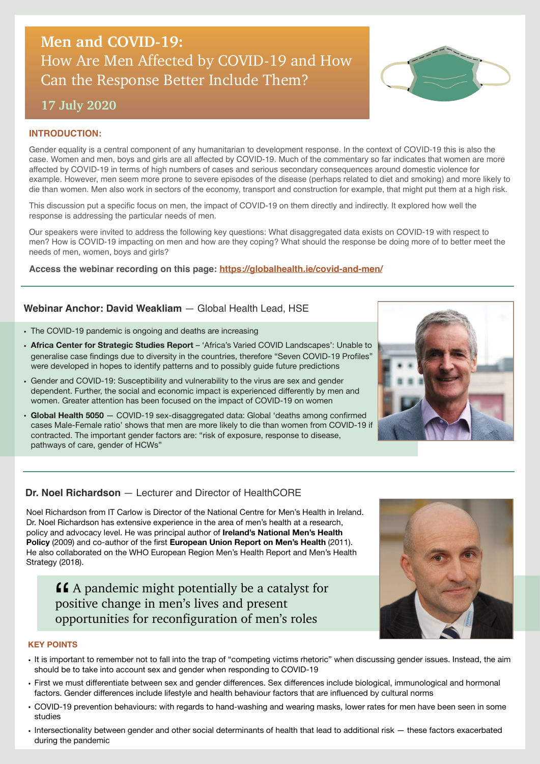# **Men and COVID-19:**  How Are Men Affected by COVID-19 and How Can the Response Better Include Them?

# **17 July 2020**

#### **INTRODUCTION:**

Gender equality is a central component of any humanitarian to development response. In the context of COVID-19 this is also the case. Women and men, boys and girls are all affected by COVID-19. Much of the commentary so far indicates that women are more affected by COVID-19 in terms of high numbers of cases and serious secondary consequences around domestic violence for example. However, men seem more prone to severe episodes of the disease (perhaps related to diet and smoking) and more likely to die than women. Men also work in sectors of the economy, transport and construction for example, that might put them at a high risk.

This discussion put a specific focus on men, the impact of COVID-19 on them directly and indirectly. It explored how well the response is addressing the particular needs of men.

Our speakers were invited to address the following key questions: What disaggregated data exists on COVID-19 with respect to men? How is COVID-19 impacting on men and how are they coping? What should the response be doing more of to better meet the needs of men, women, boys and girls?

**Access the webinar recording on this page:<https://globalhealth.ie/covid-and-men/>** 

# **Webinar Anchor: David Weakliam** — Global Health Lead, HSE

- The COVID-19 pandemic is ongoing and deaths are increasing
- **Africa Center for Strategic Studies Report** 'Africa's Varied COVID Landscapes': Unable to generalise case findings due to diversity in the countries, therefore "Seven COVID-19 Profiles" were developed in hopes to identify patterns and to possibly guide future predictions
- Gender and COVID-19: Susceptibility and vulnerability to the virus are sex and gender dependent. Further, the social and economic impact is experienced differently by men and women. Greater attention has been focused on the impact of COVID-19 on women
- **Global Health 5050**  COVID-19 sex-disaggregated data: Global 'deaths among confirmed cases Male-Female ratio' shows that men are more likely to die than women from COVID-19 if contracted. The important gender factors are: "risk of exposure, response to disease, pathways of care, gender of HCWs"

# **Dr. Noel Richardson** — Lecturer and Director of HealthCORE

Noel Richardson from IT Carlow is Director of the National Centre for Men's Health in Ireland. Dr. Noel Richardson has extensive experience in the area of men's health at a research, policy and advocacy level. He was principal author of **Ireland's National Men's Health Policy** (2009) and co-author of the first **European Union Report on Men's Health** (2011). He also collaborated on the WHO European Region Men's Health Report and Men's Health Strategy (2018).

**A** A pandemic might potentially be a catalyst for positive change in men's lives and present opportunities for reconfiguration of men's roles ""<br>
posit



#### **KEY POINTS**

- It is important to remember not to fall into the trap of "competing victims rhetoric" when discussing gender issues. Instead, the aim should be to take into account sex and gender when responding to COVID-19
- First we must differentiate between sex and gender differences. Sex differences include biological, immunological and hormonal factors. Gender differences include lifestyle and health behaviour factors that are influenced by cultural norms
- COVID-19 prevention behaviours: with regards to hand-washing and wearing masks, lower rates for men have been seen in some studies
- Intersectionality between gender and other social determinants of health that lead to additional risk these factors exacerbated during the pandemic



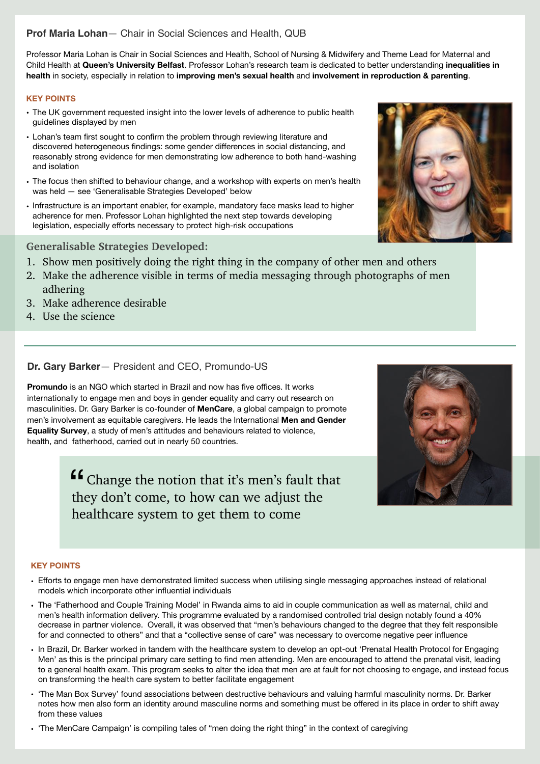# **Prof Maria Lohan**— Chair in Social Sciences and Health, QUB

Professor Maria Lohan is Chair in Social Sciences and Health, School of Nursing & Midwifery and Theme Lead for Maternal and Child Health at **Queen's University Belfast**. Professor Lohan's research team is dedicated to better understanding **inequalities in health** in society, especially in relation to **improving men's sexual health** and **involvement in reproduction & parenting**.

#### **KEY POINTS**

- The UK government requested insight into the lower levels of adherence to public health guidelines displayed by men
- Lohan's team first sought to confirm the problem through reviewing literature and discovered heterogeneous findings: some gender differences in social distancing, and reasonably strong evidence for men demonstrating low adherence to both hand-washing and isolation
- The focus then shifted to behaviour change, and a workshop with experts on men's health was held — see 'Generalisable Strategies Developed' below
- Infrastructure is an important enabler, for example, mandatory face masks lead to higher adherence for men. Professor Lohan highlighted the next step towards developing legislation, especially efforts necessary to protect high-risk occupations

# **Generalisable Strategies Developed:**

- 1. Show men positively doing the right thing in the company of other men and others
- 2. Make the adherence visible in terms of media messaging through photographs of men adhering
- 3. Make adherence desirable
- 4. Use the science

# **Dr. Gary Barker**— President and CEO, Promundo-US

**Promundo** is an NGO which started in Brazil and now has five offices. It works internationally to engage men and boys in gender equality and carry out research on masculinities. Dr. Gary Barker is co-founder of **MenCare**, a global campaign to promote men's involvement as equitable caregivers. He leads the International **Men and Gender Equality Survey**, a study of men's attitudes and behaviours related to violence, health, and fatherhood, carried out in nearly 50 countries.

> $\blacksquare$  <br> Change the notion that it's men's fault that they don't come, to how can we adjust the they don't come, to how can we adjust the healthcare system to get them to come



#### **KEY POINTS**

- Efforts to engage men have demonstrated limited success when utilising single messaging approaches instead of relational models which incorporate other influential individuals
- The 'Fatherhood and Couple Training Model' in Rwanda aims to aid in couple communication as well as maternal, child and men's health information delivery. This programme evaluated by a randomised controlled trial design notably found a 40% decrease in partner violence. Overall, it was observed that "men's behaviours changed to the degree that they felt responsible for and connected to others" and that a "collective sense of care" was necessary to overcome negative peer influence
- In Brazil, Dr. Barker worked in tandem with the healthcare system to develop an opt-out 'Prenatal Health Protocol for Engaging Men' as this is the principal primary care setting to find men attending. Men are encouraged to attend the prenatal visit, leading to a general health exam. This program seeks to alter the idea that men are at fault for not choosing to engage, and instead focus on transforming the health care system to better facilitate engagement
- 'The Man Box Survey' found associations between destructive behaviours and valuing harmful masculinity norms. Dr. Barker notes how men also form an identity around masculine norms and something must be offered in its place in order to shift away from these values
- 'The MenCare Campaign' is compiling tales of "men doing the right thing" in the context of caregiving